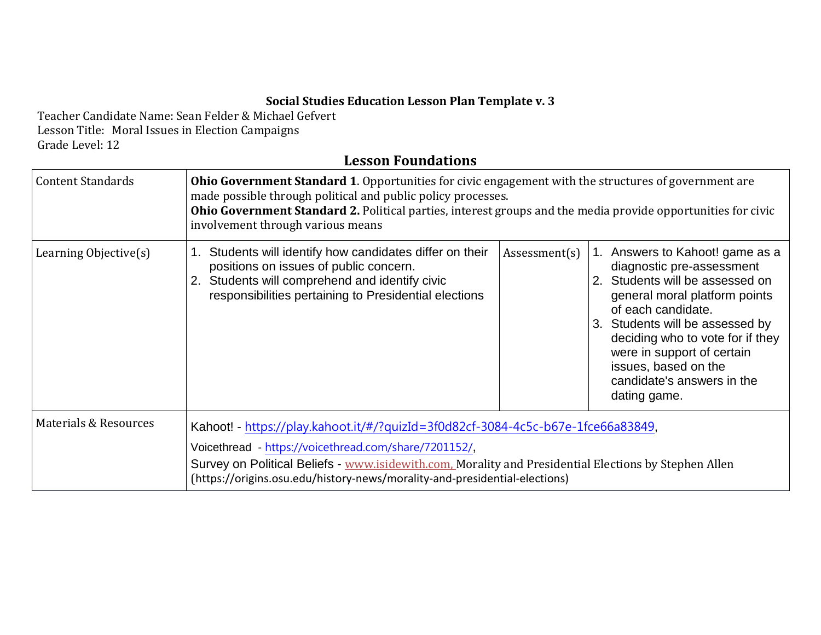## **Social Studies Education Lesson Plan Template v. 3**

Teacher Candidate Name: Sean Felder & Michael Gefvert Lesson Title: Moral Issues in Election Campaigns Grade Level: 12

## **Lesson Foundations**

| <b>Content Standards</b> | <b>Ohio Government Standard 1.</b> Opportunities for civic engagement with the structures of government are<br>made possible through political and public policy processes.<br>Ohio Government Standard 2. Political parties, interest groups and the media provide opportunities for civic<br>involvement through various means |               |                                                                                                                                                                                                                                                                                                                                   |  |
|--------------------------|----------------------------------------------------------------------------------------------------------------------------------------------------------------------------------------------------------------------------------------------------------------------------------------------------------------------------------|---------------|-----------------------------------------------------------------------------------------------------------------------------------------------------------------------------------------------------------------------------------------------------------------------------------------------------------------------------------|--|
| Learning Objective(s)    | Students will identify how candidates differ on their<br>1.<br>positions on issues of public concern.<br>Students will comprehend and identify civic<br>responsibilities pertaining to Presidential elections                                                                                                                    | Assessment(s) | 1. Answers to Kahoot! game as a<br>diagnostic pre-assessment<br>2. Students will be assessed on<br>general moral platform points<br>of each candidate.<br>3. Students will be assessed by<br>deciding who to vote for if they<br>were in support of certain<br>issues, based on the<br>candidate's answers in the<br>dating game. |  |
| Materials & Resources    | Kahoot! - https://play.kahoot.it/#/?quizId=3f0d82cf-3084-4c5c-b67e-1fce66a83849,                                                                                                                                                                                                                                                 |               |                                                                                                                                                                                                                                                                                                                                   |  |
|                          | Voicethread - https://voicethread.com/share/7201152/,<br>Survey on Political Beliefs - www.isidewith.com. Morality and Presidential Elections by Stephen Allen<br>(https://origins.osu.edu/history-news/morality-and-presidential-elections)                                                                                     |               |                                                                                                                                                                                                                                                                                                                                   |  |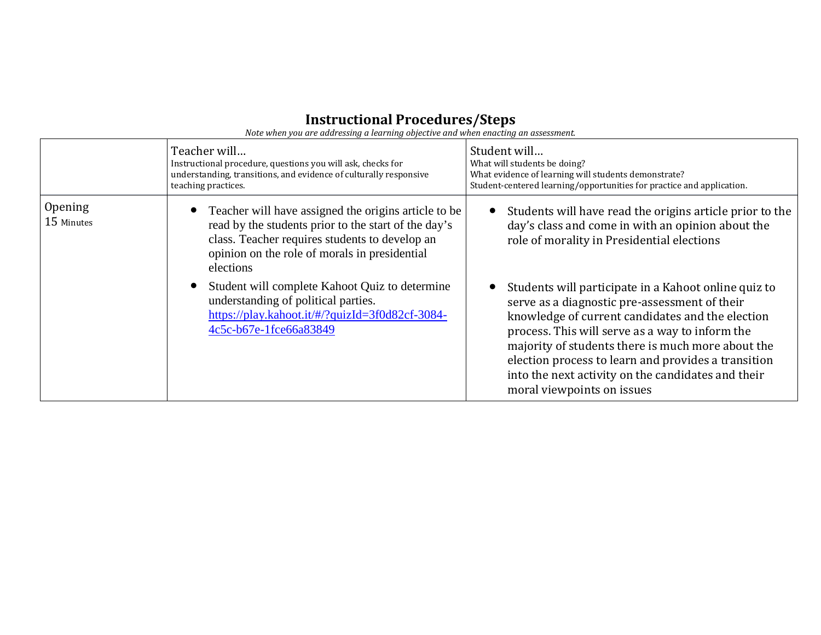## **Instructional Procedures/Steps**

*Note when you are addressing a learning objective and when enacting an assessment.*

|                       | Teacher will<br>Instructional procedure, questions you will ask, checks for<br>understanding, transitions, and evidence of culturally responsive<br>teaching practices.                                                      | Student will<br>What will students be doing?<br>What evidence of learning will students demonstrate?<br>Student-centered learning/opportunities for practice and application.                                                                                                                                                                                                                                |
|-----------------------|------------------------------------------------------------------------------------------------------------------------------------------------------------------------------------------------------------------------------|--------------------------------------------------------------------------------------------------------------------------------------------------------------------------------------------------------------------------------------------------------------------------------------------------------------------------------------------------------------------------------------------------------------|
| Opening<br>15 Minutes | Teacher will have assigned the origins article to be<br>read by the students prior to the start of the day's<br>class. Teacher requires students to develop an<br>opinion on the role of morals in presidential<br>elections | Students will have read the origins article prior to the<br>day's class and come in with an opinion about the<br>role of morality in Presidential elections                                                                                                                                                                                                                                                  |
|                       | Student will complete Kahoot Quiz to determine<br>understanding of political parties.<br>https://play.kahoot.it/#/?quizId=3f0d82cf-3084-<br>4c5c-b67e-1fce66a83849                                                           | Students will participate in a Kahoot online quiz to<br>serve as a diagnostic pre-assessment of their<br>knowledge of current candidates and the election<br>process. This will serve as a way to inform the<br>majority of students there is much more about the<br>election process to learn and provides a transition<br>into the next activity on the candidates and their<br>moral viewpoints on issues |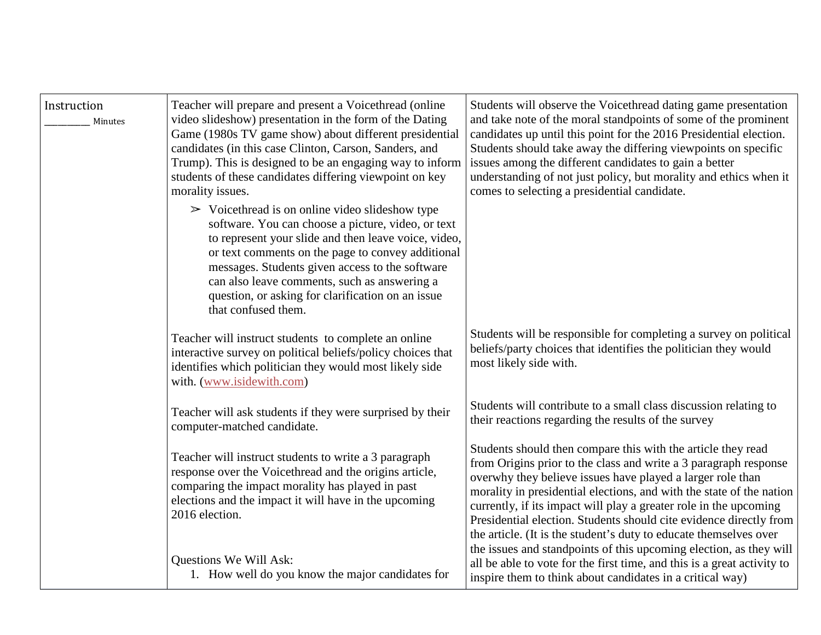| Instruction<br>Minutes | Teacher will prepare and present a Voicethread (online<br>video slideshow) presentation in the form of the Dating<br>Game (1980s TV game show) about different presidential<br>candidates (in this case Clinton, Carson, Sanders, and<br>Trump). This is designed to be an engaging way to inform<br>students of these candidates differing viewpoint on key<br>morality issues.                                 | Students will observe the Voicethread dating game presentation<br>and take note of the moral standpoints of some of the prominent<br>candidates up until this point for the 2016 Presidential election.<br>Students should take away the differing viewpoints on specific<br>issues among the different candidates to gain a better<br>understanding of not just policy, but morality and ethics when it<br>comes to selecting a presidential candidate.                               |
|------------------------|------------------------------------------------------------------------------------------------------------------------------------------------------------------------------------------------------------------------------------------------------------------------------------------------------------------------------------------------------------------------------------------------------------------|----------------------------------------------------------------------------------------------------------------------------------------------------------------------------------------------------------------------------------------------------------------------------------------------------------------------------------------------------------------------------------------------------------------------------------------------------------------------------------------|
|                        | $\triangleright$ Voicethread is on online video slideshow type<br>software. You can choose a picture, video, or text<br>to represent your slide and then leave voice, video,<br>or text comments on the page to convey additional<br>messages. Students given access to the software<br>can also leave comments, such as answering a<br>question, or asking for clarification on an issue<br>that confused them. |                                                                                                                                                                                                                                                                                                                                                                                                                                                                                        |
|                        | Teacher will instruct students to complete an online<br>interactive survey on political beliefs/policy choices that<br>identifies which politician they would most likely side<br>with. (www.isidewith.com)                                                                                                                                                                                                      | Students will be responsible for completing a survey on political<br>beliefs/party choices that identifies the politician they would<br>most likely side with.                                                                                                                                                                                                                                                                                                                         |
|                        | Teacher will ask students if they were surprised by their<br>computer-matched candidate.                                                                                                                                                                                                                                                                                                                         | Students will contribute to a small class discussion relating to<br>their reactions regarding the results of the survey                                                                                                                                                                                                                                                                                                                                                                |
|                        | Teacher will instruct students to write a 3 paragraph<br>response over the Voicethread and the origins article,<br>comparing the impact morality has played in past<br>elections and the impact it will have in the upcoming<br>2016 election.                                                                                                                                                                   | Students should then compare this with the article they read<br>from Origins prior to the class and write a 3 paragraph response<br>overwhy they believe issues have played a larger role than<br>morality in presidential elections, and with the state of the nation<br>currently, if its impact will play a greater role in the upcoming<br>Presidential election. Students should cite evidence directly from<br>the article. (It is the student's duty to educate themselves over |
|                        | Questions We Will Ask:<br>1. How well do you know the major candidates for                                                                                                                                                                                                                                                                                                                                       | the issues and standpoints of this upcoming election, as they will<br>all be able to vote for the first time, and this is a great activity to<br>inspire them to think about candidates in a critical way)                                                                                                                                                                                                                                                                             |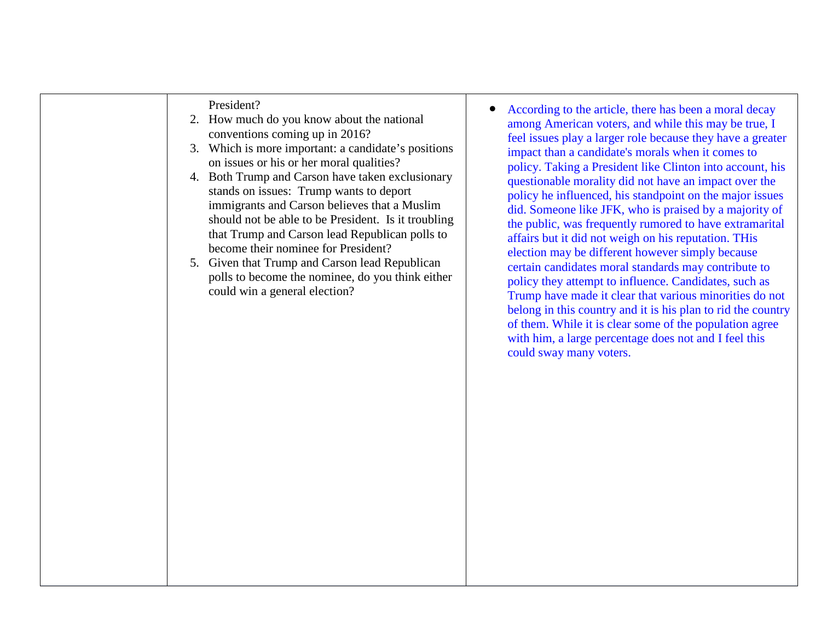|  | President?<br>2. How much do you know about the national<br>conventions coming up in 2016?<br>3. Which is more important: a candidate's positions<br>on issues or his or her moral qualities?<br>Both Trump and Carson have taken exclusionary<br>4.<br>stands on issues: Trump wants to deport<br>immigrants and Carson believes that a Muslim<br>should not be able to be President. Is it troubling<br>that Trump and Carson lead Republican polls to<br>become their nominee for President?<br>5. Given that Trump and Carson lead Republican<br>polls to become the nominee, do you think either<br>could win a general election? | According to the article, there has been a moral decay<br>among American voters, and while this may be true, I<br>feel issues play a larger role because they have a greater<br>impact than a candidate's morals when it comes to<br>policy. Taking a President like Clinton into account, his<br>questionable morality did not have an impact over the<br>policy he influenced, his standpoint on the major issues<br>did. Someone like JFK, who is praised by a majority of<br>the public, was frequently rumored to have extramarital<br>affairs but it did not weigh on his reputation. THis<br>election may be different however simply because<br>certain candidates moral standards may contribute to<br>policy they attempt to influence. Candidates, such as<br>Trump have made it clear that various minorities do not<br>belong in this country and it is his plan to rid the country<br>of them. While it is clear some of the population agree<br>with him, a large percentage does not and I feel this<br>could sway many voters. |
|--|----------------------------------------------------------------------------------------------------------------------------------------------------------------------------------------------------------------------------------------------------------------------------------------------------------------------------------------------------------------------------------------------------------------------------------------------------------------------------------------------------------------------------------------------------------------------------------------------------------------------------------------|-------------------------------------------------------------------------------------------------------------------------------------------------------------------------------------------------------------------------------------------------------------------------------------------------------------------------------------------------------------------------------------------------------------------------------------------------------------------------------------------------------------------------------------------------------------------------------------------------------------------------------------------------------------------------------------------------------------------------------------------------------------------------------------------------------------------------------------------------------------------------------------------------------------------------------------------------------------------------------------------------------------------------------------------------|
|--|----------------------------------------------------------------------------------------------------------------------------------------------------------------------------------------------------------------------------------------------------------------------------------------------------------------------------------------------------------------------------------------------------------------------------------------------------------------------------------------------------------------------------------------------------------------------------------------------------------------------------------------|-------------------------------------------------------------------------------------------------------------------------------------------------------------------------------------------------------------------------------------------------------------------------------------------------------------------------------------------------------------------------------------------------------------------------------------------------------------------------------------------------------------------------------------------------------------------------------------------------------------------------------------------------------------------------------------------------------------------------------------------------------------------------------------------------------------------------------------------------------------------------------------------------------------------------------------------------------------------------------------------------------------------------------------------------|